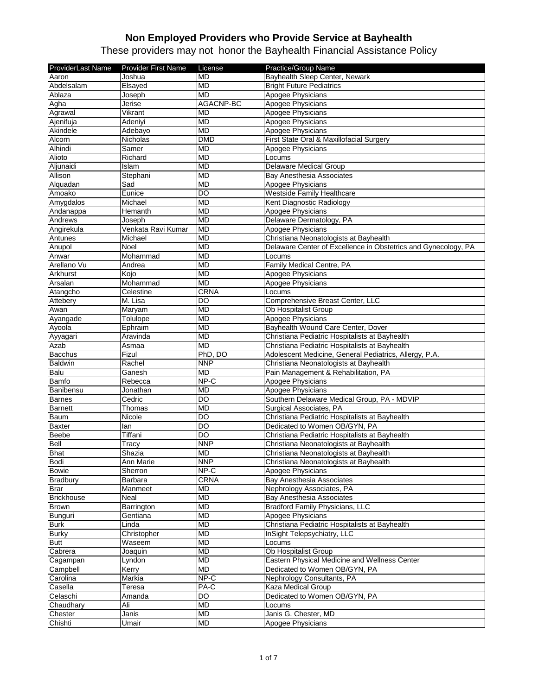| <b>ProviderLast Name</b> | <b>Provider First Name</b> | License                | Practice/Group Name                                            |
|--------------------------|----------------------------|------------------------|----------------------------------------------------------------|
| Aaron                    | Joshua                     | <b>MD</b>              | Bayhealth Sleep Center, Newark                                 |
| Abdelsalam               | Elsayed                    | <b>MD</b>              | <b>Bright Future Pediatrics</b>                                |
| Ablaza                   | Joseph                     | <b>MD</b>              | Apogee Physicians                                              |
| Agha                     | Jerise                     | AGACNP-BC              | Apogee Physicians                                              |
| Agrawal                  | Vikrant                    | <b>MD</b>              | Apogee Physicians                                              |
| Ajenifuja                | Adeniyi                    | <b>MD</b>              | Apogee Physicians                                              |
| Akindele                 | Adebayo                    | <b>MD</b>              | Apogee Physicians                                              |
| Alcorn                   | Nicholas                   | <b>DMD</b>             | First State Oral & Maxillofacial Surgery                       |
| Alhindi                  | Samer                      | <b>MD</b>              | Apogee Physicians                                              |
| Alioto                   | Richard                    | <b>MD</b>              | Locums                                                         |
| Aljunaidi                | Islam                      | <b>MD</b>              | Delaware Medical Group                                         |
| Allison                  | Stephani                   | <b>MD</b>              | Bay Anesthesia Associates                                      |
| Alquadan                 | Sad                        | <b>MD</b>              | Apogee Physicians                                              |
| Amoako                   | Eunice                     | $\overline{DO}$        | <b>Westside Family Healthcare</b>                              |
| Amygdalos                | Michael                    | <b>MD</b>              | Kent Diagnostic Radiology                                      |
| Andanappa                | Hemanth                    | <b>MD</b>              | Apogee Physicians                                              |
| Andrews                  | Joseph                     | <b>MD</b>              | Delaware Dermatology, PA                                       |
| Angirekula               | Venkata Ravi Kumar         | <b>MD</b>              | Apogee Physicians                                              |
| Antunes                  | Michael                    | <b>MD</b>              | Christiana Neonatologists at Bayhealth                         |
| Anupol                   | Noel                       | <b>MD</b>              | Delaware Center of Excellence in Obstetrics and Gynecology, PA |
| Anwar                    | Mohammad                   | <b>MD</b>              | Locums                                                         |
| Arellano Vu              | Andrea                     | <b>MD</b>              | Family Medical Centre, PA                                      |
| Arkhurst                 | Kojo                       | <b>MD</b>              | Apogee Physicians                                              |
| Arsalan                  | Mohammad                   | <b>MD</b>              | Apogee Physicians                                              |
| Atangcho                 | Celestine                  | <b>CRNA</b>            | Locums                                                         |
| Attebery                 | M. Lisa                    | DO                     | Comprehensive Breast Center, LLC                               |
| Awan                     | Maryam                     | <b>MD</b>              | <b>Ob Hospitalist Group</b>                                    |
| Ayangade                 | Tolulope                   | <b>MD</b>              | Apogee Physicians                                              |
| Ayoola                   | Ephraim                    | <b>MD</b>              | Bayhealth Wound Care Center, Dover                             |
| Ayyagari                 | Aravinda                   | <b>MD</b>              | Christiana Pediatric Hospitalists at Bayhealth                 |
| Azab                     | Asmaa                      | <b>MD</b>              | Christiana Pediatric Hospitalists at Bayhealth                 |
| Bacchus                  | Fizul                      | PhD, DO                | Adolescent Medicine, General Pediatrics, Allergy, P.A.         |
| Baldwin                  | Rachel                     | <b>NNP</b>             | Christiana Neonatologists at Bayhealth                         |
| Balu                     | Ganesh                     | MD                     | Pain Management & Rehabilitation, PA                           |
| <b>Bamfo</b>             | Rebecca                    | NPC                    | Apogee Physicians                                              |
| Banibensu                | Jonathan                   | <b>MD</b>              | Apogee Physicians                                              |
| <b>Barnes</b>            | Cedric                     | DO                     | Southern Delaware Medical Group, PA - MDVIP                    |
| <b>Barnett</b>           | Thomas                     | <b>MD</b>              | Surgical Associates, PA                                        |
| Baum                     | Nicole                     | DO                     | Christiana Pediatric Hospitalists at Bayhealth                 |
| <b>Baxter</b>            | lan                        | DO                     | Dedicated to Women OB/GYN, PA                                  |
| <b>Beebe</b>             | Tiffani                    | DO                     | Christiana Pediatric Hospitalists at Bayhealth                 |
| <b>Bell</b>              | Tracy                      | <b>NNP</b>             | Christiana Neonatologists at Bayhealth                         |
| <b>Bhat</b>              | Shazia                     | <b>MD</b>              | Christiana Neonatologists at Bayhealth                         |
| Bodi                     | Ann Marie                  | <b>NNP</b>             | Christiana Neonatologists at Bayhealth                         |
| <b>Bowie</b>             | Sherron                    | NP-C                   | Apogee Physicians                                              |
| <b>Bradbury</b>          | Barbara                    | <b>CRNA</b>            | Bay Anesthesia Associates                                      |
| Brar                     | Manmeet                    | MD                     | Nephrology Associates, PA                                      |
| <b>Brickhouse</b>        | Neal                       | <b>MD</b>              | Bay Anesthesia Associates                                      |
| <b>Brown</b>             | Barrington                 | <b>MD</b>              | <b>Bradford Family Physicians, LLC</b>                         |
|                          |                            | <b>MD</b>              | Apogee Physicians                                              |
| Bunguri<br><b>Burk</b>   | Gentiana<br>Linda          | <b>MD</b>              | Christiana Pediatric Hospitalists at Bayhealth                 |
| <b>Burky</b>             | Christopher                | <b>MD</b>              | InSight Telepsychiatry, LLC                                    |
|                          |                            |                        |                                                                |
| <b>Butt</b><br>Cabrera   | Waseem<br>Joaquin          | <b>MD</b><br><b>MD</b> | Locums<br>Ob Hospitalist Group                                 |
|                          |                            |                        |                                                                |
| Cagampan                 | Lyndon                     | <b>MD</b>              | Eastern Physical Medicine and Wellness Center                  |
| Campbell                 | Kerry                      | MD                     | Dedicated to Women OB/GYN, PA                                  |
| Carolina                 | Markia                     | NP-C                   | Nephrology Consultants, PA                                     |
| Casella                  | Teresa                     | PA-C                   | Kaza Medical Group                                             |
| Celaschi                 | Amanda                     | DO                     | Dedicated to Women OB/GYN, PA                                  |
| Chaudhary                | Ali                        | MD                     | Locums                                                         |
| Chester                  | Janis                      | <b>MD</b>              | Janis G. Chester, MD                                           |
| Chishti                  | Umair                      | MD                     | Apogee Physicians                                              |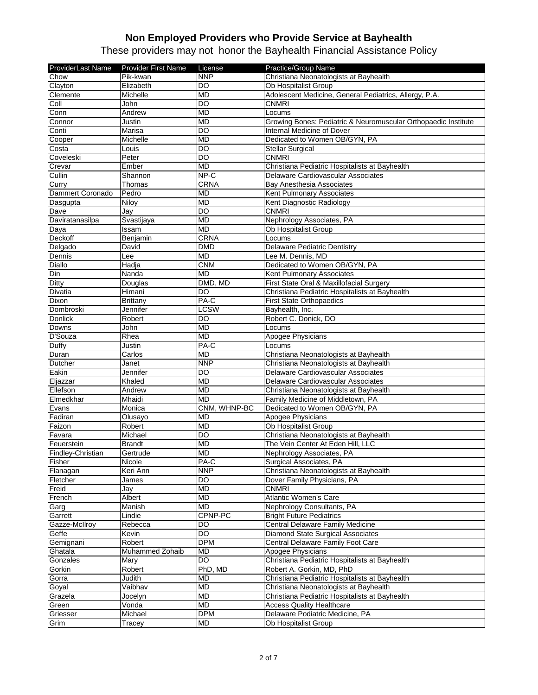| ProviderLast Name  | <b>Provider First Name</b> | License      | Practice/Group Name                                                         |
|--------------------|----------------------------|--------------|-----------------------------------------------------------------------------|
| Chow               | Pik-kwan                   | <b>NNP</b>   | Christiana Neonatologists at Bayhealth                                      |
| Clayton            | Elizabeth                  | DO           | Ob Hospitalist Group                                                        |
| Clemente           | Michelle                   | <b>MD</b>    | Adolescent Medicine, General Pediatrics, Allergy, P.A.                      |
| Coll               | John                       | DO           | <b>CNMRI</b>                                                                |
| Conn               | Andrew                     | <b>MD</b>    | Locums                                                                      |
| Connor             | Justin                     | <b>MD</b>    | Growing Bones: Pediatric & Neuromuscular Orthopaedic Institute              |
| Conti              | Marisa                     | DO           | Internal Medicine of Dover                                                  |
| Cooper             | Michelle                   | <b>MD</b>    | Dedicated to Women OB/GYN, PA                                               |
| Costa              | Louis                      | DO           | <b>Stellar Surgical</b>                                                     |
| Coveleski          | Peter                      | DO           | <b>CNMRI</b>                                                                |
| Crevar             | Ember                      | <b>MD</b>    | Christiana Pediatric Hospitalists at Bayhealth                              |
| Cullin             | Shannon                    | NP-C         | Delaware Cardiovascular Associates                                          |
| Curry              | Thomas                     | <b>CRNA</b>  | Bay Anesthesia Associates                                                   |
| Dammert Coronado   | Pedro                      | <b>MD</b>    | Kent Pulmonary Associates                                                   |
| Dasgupta           | Niloy                      | <b>MD</b>    | Kent Diagnostic Radiology                                                   |
| Dave               | Jav                        | <b>DO</b>    | <b>CNMRI</b>                                                                |
| Daviratanasilpa    | Svastijaya                 | <b>MD</b>    | Nephrology Associates, PA                                                   |
| Daya               | Issam                      | <b>MD</b>    | Ob Hospitalist Group                                                        |
| <b>Deckoff</b>     | Benjamin                   | CRNA         | Locums                                                                      |
| Delgado            | David                      | <b>DMD</b>   | <b>Delaware Pediatric Dentistry</b>                                         |
| Dennis             | Lee                        | <b>MD</b>    | Lee M. Dennis, MD                                                           |
| Diallo             | Hadja                      | <b>CNM</b>   | Dedicated to Women OB/GYN, PA                                               |
| Din                | Nanda                      | <b>MD</b>    | Kent Pulmonary Associates                                                   |
| Ditty              | Douglas                    | DMD, MD      | First State Oral & Maxillofacial Surgery                                    |
| <b>Divatia</b>     | Himani                     | DO           | Christiana Pediatric Hospitalists at Bayhealth                              |
| <b>Dixon</b>       | Brittany                   | PA-C         | <b>First State Orthopaedics</b>                                             |
| Dombroski          | Jennifer                   | LCSW         | Bayhealth, Inc.                                                             |
| <b>Donlick</b>     | Robert                     | DO           | Robert C. Donick, DO                                                        |
| Downs              | John                       | MD           | Locums                                                                      |
| D'Souza            | Rhea                       | <b>MD</b>    | Apogee Physicians                                                           |
| Duffy              | Justin                     | PA-C         | Locums                                                                      |
| Duran              | Carlos                     | <b>MD</b>    | Christiana Neonatologists at Bayhealth                                      |
| Dutcher            | Janet                      | <b>NNP</b>   | Christiana Neonatologists at Bayhealth                                      |
| Eakin              | Jennifer                   | DO           | Delaware Cardiovascular Associates                                          |
| Eljazzar           | Khaled                     | <b>MD</b>    | Delaware Cardiovascular Associates                                          |
| Ellefson           | Andrew                     | <b>MD</b>    | Christiana Neonatologists at Bayhealth                                      |
| Elmedkhar          | Mhaidi                     | <b>MD</b>    | Family Medicine of Middletown, PA                                           |
| Evans              | Monica                     | CNM, WHNP-BC | Dedicated to Women OB/GYN, PA                                               |
| Fadiran            | Olusayo                    | <b>MD</b>    | Apogee Physicians                                                           |
| Faizon             | Robert                     | <b>MD</b>    | <b>Ob Hospitalist Group</b>                                                 |
| Favara             | Michael                    | <b>DO</b>    | Christiana Neonatologists at Bayhealth                                      |
| Feuerstein         | <b>Brandt</b>              | <b>MD</b>    | The Vein Center At Eden Hill, LLC                                           |
| Findley-Christian  | Gertrude                   | <b>MD</b>    | Nephrology Associates, PA                                                   |
| Fisher             | Nicole                     | PA-C         | Surgical Associates, PA                                                     |
| Flanagan           | Keri Ann                   | <b>NNP</b>   | Christiana Neonatologists at Bayhealth                                      |
| Fletcher           | James                      | DO           | Dover Family Physicians, PA                                                 |
| Freid              | Jay                        | <b>MD</b>    | <b>CNMRI</b>                                                                |
| French             | Albert                     | <b>MD</b>    | <b>Atlantic Women's Care</b>                                                |
| Garg               | <b>Manish</b>              | <b>MD</b>    | Nephrology Consultants, PA                                                  |
| Garrett            | Lindie                     | CPNP-PC      | <b>Bright Future Pediatrics</b>                                             |
| Gazze-McIlroy      | Rebecca                    | <b>DO</b>    | Central Delaware Family Medicine                                            |
| Geffe              | Kevin                      | DO           | Diamond State Surgical Associates                                           |
| Gemignani          | Robert                     | <b>DPM</b>   | Central Delaware Family Foot Care                                           |
| Ghatala            | Muhammed Zohaib            | <b>MD</b>    | Apogee Physicians                                                           |
|                    | Mary                       | <b>DO</b>    |                                                                             |
| Gonzales<br>Gorkin | Robert                     | PhD, MD      | Christiana Pediatric Hospitalists at Bayhealth<br>Robert A. Gorkin, MD, PhD |
|                    | Judith                     | <b>MD</b>    | Christiana Pediatric Hospitalists at Bayhealth                              |
| Gorra<br>Goyal     |                            | <b>MD</b>    |                                                                             |
|                    | Vaibhav                    | <b>MD</b>    | Christiana Neonatologists at Bayhealth                                      |
| Grazela            | Jocelyn                    |              | Christiana Pediatric Hospitalists at Bayhealth                              |
| Green              | Vonda                      | MD           | <b>Access Quality Healthcare</b>                                            |
| Griesser           | Michael                    | <b>DPM</b>   | Delaware Podiatric Medicine, PA                                             |
| Grim               | Tracey                     | MD           | Ob Hospitalist Group                                                        |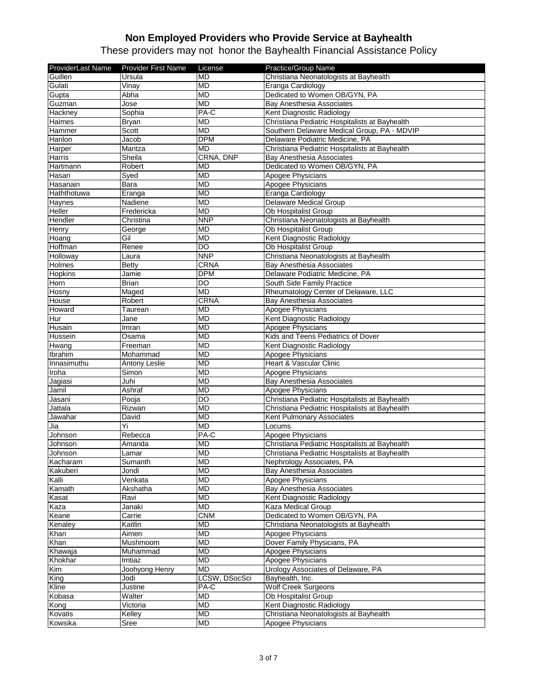| ProviderLast Name | <b>Provider First Name</b> | License        | Practice/Group Name                            |
|-------------------|----------------------------|----------------|------------------------------------------------|
| Guillen           | Ursula                     | <b>MD</b>      | Christiana Neonatologists at Bayhealth         |
| Gulati            | $\overline{\text{V}}$ inay | <b>MD</b>      | Eranga Cardiology                              |
| Gupta             | Abha                       | <b>MD</b>      | Dedicated to Women OB/GYN, PA                  |
| Guzman            | Jose                       | <b>MD</b>      | <b>Bay Anesthesia Associates</b>               |
| Hackney           | Sophia                     | PA-C           | Kent Diagnostic Radiology                      |
| Haimes            | <b>Bryan</b>               | <b>MD</b>      | Christiana Pediatric Hospitalists at Bayhealth |
| Hammer            | Scott                      | <b>MD</b>      | Southern Delaware Medical Group, PA - MDVIP    |
| Hanlon            | Jacob                      | <b>DPM</b>     | Delaware Podiatric Medicine, PA                |
| Harper            | Maritza                    | MD             | Christiana Pediatric Hospitalists at Bayhealth |
| Harris            | Sheila                     | CRNA, DNP      | Bay Anesthesia Associates                      |
| Hartmann          | Robert                     | <b>MD</b>      | Dedicated to Women OB/GYN, PA                  |
| Hasan             | Syed                       | <b>MD</b>      | Apogee Physicians                              |
| Hasanain          | Bara                       | <b>MD</b>      | Apogee Physicians                              |
| Haththotuwa       | Eranga                     | <b>MD</b>      | Eranga Cardiology                              |
| Haynes            | Nadiene                    | <b>MD</b>      | <b>Delaware Medical Group</b>                  |
| Heller            | Fredericka                 | <b>MD</b>      | Ob Hospitalist Group                           |
| Hendler           | Christina                  | <b>NNP</b>     | Christiana Neonatologists at Bayhealth         |
| Henry             | George                     | <b>MD</b>      | Ob Hospitalist Group                           |
| Hoang             | Gil                        | <b>MD</b>      | Kent Diagnostic Radiology                      |
| Hoffman           | Renee                      | DO             | Ob Hospitalist Group                           |
| Holloway          | Laura                      | <b>NNP</b>     | Christiana Neonatologists at Bayhealth         |
| Holmes            | Betty                      | CRNA           | Bay Anesthesia Associates                      |
| Hopkins           | Jamie                      | <b>DPM</b>     | Delaware Podiatric Medicine, PA                |
| Horn              | <b>Brian</b>               | DO             | South Side Family Practice                     |
| Hosny             | Maged                      | <b>MD</b>      | Rheumatology Center of Delaware, LLC           |
| House             | Robert                     | CRNA           | <b>Bay Anesthesia Associates</b>               |
| Howard            | Taurean                    | <b>MD</b>      | Apogee Physicians                              |
| Hur               | Jane                       | <b>MD</b>      | Kent Diagnostic Radiology                      |
| Husain            | Imran                      | MD             | Apogee Physicians                              |
| Hussein           | Osama                      | <b>MD</b>      | Kids and Teens Pediatrics of Dover             |
| Hwang             | Freeman                    | <b>MD</b>      | Kent Diagnostic Radiology                      |
| Ibrahim           | Mohammad                   | <b>MD</b>      | Apogee Physicians                              |
| Innasimuthu       | <b>Antony Leslie</b>       | <b>MD</b>      | Heart & Vascular Clinic                        |
| Iroha             | Simon                      | <b>MD</b>      | Apogee Physicians                              |
| Jagiasi           | Juhi                       | <b>MD</b>      | Bay Anesthesia Associates                      |
| Jamil             | Ashraf                     | <b>MD</b>      | Apogee Physicians                              |
| Jasani            | Pooja                      | $\overline{D}$ | Christiana Pediatric Hospitalists at Bayhealth |
| Jattala           | Rizwan                     | <b>MD</b>      | Christiana Pediatric Hospitalists at Bayhealth |
| Jawahar           | David                      | <b>MD</b>      | Kent Pulmonary Associates                      |
| Jia               | Yi                         | <b>MD</b>      | Locums                                         |
| Johnson           | Rebecca                    | PA-C           | Apogee Physicians                              |
| Johnson           | Amanda                     | <b>MD</b>      | Christiana Pediatric Hospitalists at Bayhealth |
| Johnson           | Lamar                      | <b>MD</b>      | Christiana Pediatric Hospitalists at Bayhealth |
| Kacharam          | Sumanth                    | <b>MD</b>      | Nephrology Associates, PA                      |
| Kakuberi          | Jondi                      | <b>MD</b>      | Bay Anesthesia Associates                      |
| Kalli             | Venkata                    | <b>MD</b>      | Apogee Physicians                              |
| Kamath            | Akshatha                   | <b>MD</b>      | <b>Bay Anesthesia Associates</b>               |
| Kasat             | Ravi                       | <b>MD</b>      | Kent Diagnostic Radiology                      |
| Kaza              | Janaki                     | <b>MD</b>      | <b>Kaza Medical Group</b>                      |
| Keane             | Carrie                     | <b>CNM</b>     | Dedicated to Women OB/GYN, PA                  |
| Kenaley           | Kaitlin                    | <b>MD</b>      | Christiana Neonatologists at Bayhealth         |
| Khan              | Aimen                      | <b>MD</b>      | Apogee Physicians                              |
| Khan              | Mushmoom                   | <b>MD</b>      | Dover Family Physicians, PA                    |
| Khawaja           | Muhammad                   | <b>MD</b>      | Apogee Physicians                              |
| Khokhar           | Imtiaz                     | <b>MD</b>      | Apogee Physicians                              |
| Kim               | Joohyong Henry             | <b>MD</b>      | Urology Associates of Delaware, PA             |
| King              | Jodi                       | LCSW, DSocSci  | Bayhealth, Inc.                                |
| Kline             | Justine                    | PA-C           | <b>Wolf Creek Surgeons</b>                     |
| Kobasa            | Walter                     | <b>MD</b>      | Ob Hospitalist Group                           |
| Kong              | Victoria                   | <b>MD</b>      | Kent Diagnostic Radiology                      |
| Kovatis           | Kelley                     | <b>MD</b>      | Christiana Neonatologists at Bayhealth         |
| Kowsika           | <b>Sree</b>                | MD             | Apogee Physicians                              |
|                   |                            |                |                                                |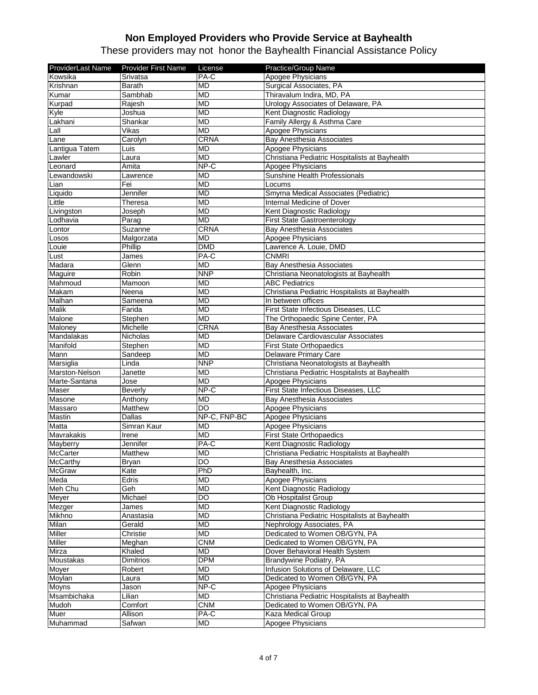| ProviderLast Name | <b>Provider First Name</b> | License         | Practice/Group Name                            |
|-------------------|----------------------------|-----------------|------------------------------------------------|
| Kowsika           | Srivatsa                   | PA-C            | <b>Apogee Physicians</b>                       |
| Krishnan          | <b>Barath</b>              | <b>MD</b>       | Surgical Associates, PA                        |
| Kumar             | Sambhab                    | MD              | Thiravalum Indira, MD, PA                      |
| Kurpad            | Rajesh                     | <b>MD</b>       | Urology Associates of Delaware, PA             |
| Kyle              | Joshua                     | <b>MD</b>       | Kent Diagnostic Radiology                      |
| Lakhani           | Shankar                    | <b>MD</b>       | Family Allergy & Asthma Care                   |
| Lall              | Vikas                      | <b>MD</b>       | Apogee Physicians                              |
| Lane              | Carolyn                    | CRNA            | Bay Anesthesia Associates                      |
| Lantigua Tatem    | Luis                       | <b>MD</b>       | Apogee Physicians                              |
| Lawler            | Laura                      | <b>MD</b>       | Christiana Pediatric Hospitalists at Bayhealth |
| Leonard           | Amita                      | $NP-C$          | Apogee Physicians                              |
| Lewandowski       | Lawrence                   | <b>MD</b>       | Sunshine Health Professionals                  |
| Lian              | Fei                        | <b>MD</b>       | Locums                                         |
| Liquido           | Jennifer                   | <b>MD</b>       | Smyrna Medical Associates (Pediatric)          |
| Little            | Theresa                    | <b>MD</b>       | Internal Medicine of Dover                     |
| Livingston        | Joseph                     | <b>MD</b>       | Kent Diagnostic Radiology                      |
| Lodhavia          | $\overline{P}$ arag        | <b>MD</b>       | First State Gastroenterology                   |
| Lontor            | Suzanne                    | <b>CRNA</b>     | Bay Anesthesia Associates                      |
| Losos             | Malgorzata                 | <b>MD</b>       | Apogee Physicians                              |
| Louie             | Phillip                    | <b>DMD</b>      | Lawrence A. Louie, DMD                         |
| Lust              | James                      | PA-C            | <b>CNMRI</b>                                   |
| Madara            | Glenn                      | <b>MD</b>       | Bay Anesthesia Associates                      |
| Maguire           | Robin                      | <b>NNP</b>      | Christiana Neonatologists at Bayhealth         |
| Mahmoud           | Mamoon                     | <b>MD</b>       | <b>ABC Pediatrics</b>                          |
| Makam             | Neena                      | <b>MD</b>       | Christiana Pediatric Hospitalists at Bayhealth |
| Malhan            | Sameena                    | <b>MD</b>       | In between offices                             |
| Malik             | Farida                     | <b>MD</b>       | First State Infectious Diseases, LLC           |
| Malone            | Stephen                    | <b>MD</b>       | The Orthopaedic Spine Center, PA               |
| Maloney           | Michelle                   | <b>CRNA</b>     | Bay Anesthesia Associates                      |
| Mandalakas        | Nicholas                   | MD              | Delaware Cardiovascular Associates             |
| Manifold          | Stephen                    | <b>MD</b>       | <b>First State Orthopaedics</b>                |
| Mann              | Sandeep                    | <b>MD</b>       | Delaware Primary Care                          |
| Marsiglia         | Linda                      | <b>NNP</b>      | Christiana Neonatologists at Bayhealth         |
| Marston-Nelson    | Janette                    | <b>MD</b>       | Christiana Pediatric Hospitalists at Bayhealth |
| Marte-Santana     | Jose                       | <b>MD</b>       | Apogee Physicians                              |
| <b>Maser</b>      | <b>Beverly</b>             | NP-C            | First State Infectious Diseases, LLC           |
| Masone            | Anthony                    | <b>MD</b>       | Bay Anesthesia Associates                      |
| Massaro           | Matthew                    | $\overline{DO}$ | Apogee Physicians                              |
| Mastin            | Dallas                     | NP-C, FNP-BC    | Apogee Physicians                              |
| Matta             | Simran Kaur                | <b>MD</b>       | <b>Apogee Physicians</b>                       |
| Mavrakakis        | Irene                      | <b>MD</b>       | <b>First State Orthopaedics</b>                |
| Mayberry          | Jennifer                   | PA-C            | Kent Diagnostic Radiology                      |
| <b>McCarter</b>   | Matthew                    | <b>MD</b>       | Christiana Pediatric Hospitalists at Bayhealth |
| <b>McCarthy</b>   | <b>Bryan</b>               | $\overline{D}$  | Bay Anesthesia Associates                      |
| <b>McGraw</b>     | Kate                       | PhD             | Bayhealth, Inc.                                |
| Meda              | Edris                      | MD              | Apogee Physicians                              |
| Meh Chu           | Geh                        | MD              | Kent Diagnostic Radiology                      |
| Meyer             | Michael                    | $\overline{D}$  | Ob Hospitalist Group                           |
| Mezger            | James                      | <b>MD</b>       | Kent Diagnostic Radiology                      |
| Mikhno            | Anastasia                  | <b>MD</b>       | Christiana Pediatric Hospitalists at Bayhealth |
| Milan             | Gerald                     | <b>MD</b>       | Nephrology Associates, PA                      |
| Miller            | Christie                   | <b>MD</b>       | Dedicated to Women OB/GYN, PA                  |
| Miller            | Meghan                     | <b>CNM</b>      | Dedicated to Women OB/GYN, PA                  |
| Mirza             | Khaled                     | <b>MD</b>       | Dover Behavioral Health System                 |
| Moustakas         | Dimitrios                  | <b>DPM</b>      | Brandywine Podiatry, PA                        |
| Moyer             | Robert                     | <b>MD</b>       | Infusion Solutions of Delaware, LLC            |
| Moylan            | Laura                      | <b>MD</b>       | Dedicated to Women OB/GYN, PA                  |
| <b>Moyns</b>      | Jason                      | NP-C            | Apogee Physicians                              |
| Msambichaka       | Lilian                     | MD              | Christiana Pediatric Hospitalists at Bayhealth |
| Mudoh             | Comfort                    | <b>CNM</b>      | Dedicated to Women OB/GYN, PA                  |
| Muer              | Allison                    | PA-C            | Kaza Medical Group                             |
| Muhammad          | Safwan                     | MD              | Apogee Physicians                              |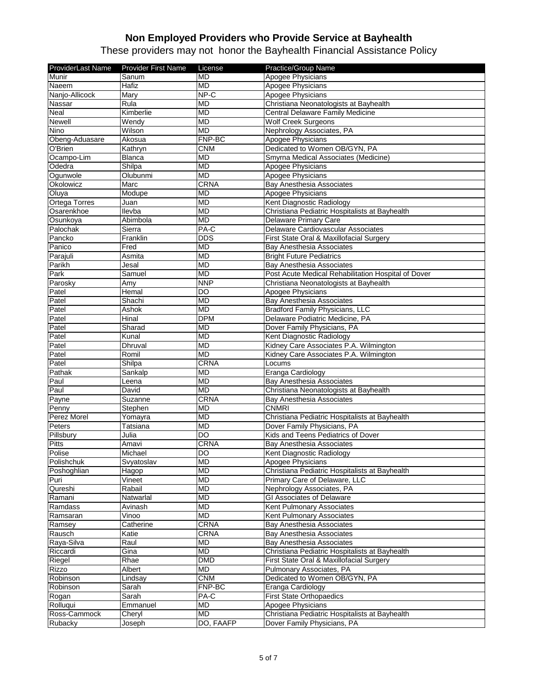| ProviderLast Name | <b>Provider First Name</b> | License       | Practice/Group Name                                 |
|-------------------|----------------------------|---------------|-----------------------------------------------------|
| Munir             | Sanum                      | <b>MD</b>     | Apogee Physicians                                   |
| Naeem             | Hafiz                      | <b>MD</b>     | Apogee Physicians                                   |
| Nanjo-Allicock    | Mary                       | NP-C          | Apogee Physicians                                   |
| Nassar            | Rula                       | MD            | Christiana Neonatologists at Bayhealth              |
| Neal              | Kimberlie                  | <b>MD</b>     | Central Delaware Family Medicine                    |
| Newell            | Wendy                      | <b>MD</b>     | <b>Wolf Creek Surgeons</b>                          |
| Nino              | Wilson                     | <b>MD</b>     | Nephrology Associates, PA                           |
| Obeng-Aduasare    | Akosua                     | FNP-BC        | Apogee Physicians                                   |
| O'Brien           | Kathryn                    | CNM           | Dedicated to Women OB/GYN, PA                       |
| Ocampo-Lim        | <b>Blanca</b>              | <b>MD</b>     | Smyrna Medical Associates (Medicine)                |
| Odedra            | Shilpa                     | <b>MD</b>     | Apogee Physicians                                   |
| Ogunwole          | Olubunmi                   | <b>MD</b>     | Apogee Physicians                                   |
| Okolowicz         | Marc                       | CRNA          | <b>Bay Anesthesia Associates</b>                    |
| Oluya             | Modupe                     | <b>MD</b>     | Apogee Physicians                                   |
| Ortega Torres     | Juan                       | <b>MD</b>     | Kent Diagnostic Radiology                           |
| Osarenkhoe        | Ilevba                     | <b>MD</b>     | Christiana Pediatric Hospitalists at Bayhealth      |
| Osunkoya          | Abimbola                   | <b>MD</b>     | Delaware Primary Care                               |
| Palochak          | Sierra                     | PA-C          | Delaware Cardiovascular Associates                  |
| Pancko            | Franklin                   | <b>DDS</b>    | First State Oral & Maxillofacial Surgery            |
| Panico            | Fred                       | <b>MD</b>     | Bay Anesthesia Associates                           |
| Parajuli          | Asmita                     | <b>MD</b>     | <b>Bright Future Pediatrics</b>                     |
| Parikh            | Jesal                      | <b>MD</b>     | Bay Anesthesia Associates                           |
| Park              | Samuel                     | <b>MD</b>     | Post Acute Medical Rehabilitation Hospital of Dover |
| Parosky           | Amv                        | <b>NNP</b>    | Christiana Neonatologists at Bayhealth              |
| Patel             | Hemal                      | <b>DO</b>     | Apogee Physicians                                   |
| Patel             | Shachi                     | <b>MD</b>     | Bay Anesthesia Associates                           |
| Patel             | Ashok                      | <b>MD</b>     | Bradford Family Physicians, LLC                     |
| Patel             | Hinal                      | <b>DPM</b>    | Delaware Podiatric Medicine, PA                     |
| Patel             | Sharad                     | <b>MD</b>     | Dover Family Physicians, PA                         |
| Patel             | Kunal                      | <b>MD</b>     | Kent Diagnostic Radiology                           |
| Patel             | Dhruval                    | <b>MD</b>     | Kidney Care Associates P.A. Wilmington              |
| Patel             | Romil                      | <b>MD</b>     | Kidney Care Associates P.A. Wilmington              |
| Patel             | Shilpa                     | CRNA          | Locums                                              |
| Pathak            | Sankalp                    | <b>MD</b>     | Eranga Cardiology                                   |
| Paul              | Leena                      | <b>MD</b>     | <b>Bay Anesthesia Associates</b>                    |
| Paul              | David                      | <b>MD</b>     | Christiana Neonatologists at Bayhealth              |
| Payne             | Suzanne                    | <b>CRNA</b>   | <b>Bay Anesthesia Associates</b>                    |
| Penny             | Stephen                    | <b>MD</b>     | <b>CNMRI</b>                                        |
| Perez Morel       | Yomayra                    | <b>MD</b>     | Christiana Pediatric Hospitalists at Bayhealth      |
| Peters            | Tatsiana                   | <b>MD</b>     | Dover Family Physicians, PA                         |
| Pillsbury         | Julia                      | <b>DO</b>     | Kids and Teens Pediatrics of Dover                  |
| <b>Pitts</b>      | Amavi                      | CRNA          | Bay Anesthesia Associates                           |
| Polise            | Michael                    | <b>DO</b>     | Kent Diagnostic Radiology                           |
| Polishchuk        | Svyatoslav                 | <b>MD</b>     | Apogee Physicians                                   |
| Poshoghlian       | Hagop                      | <b>MD</b>     | Christiana Pediatric Hospitalists at Bayhealth      |
| Puri              | Vineet                     | <b>MD</b>     | Primary Care of Delaware, LLC                       |
| Qureshi           | Rabail                     | <b>MD</b>     | Nephrology Associates, PA                           |
| Ramani            | Natwarlal                  | <b>MD</b>     | <b>GI Associates of Delaware</b>                    |
| Ramdass           | Avinash                    | <b>MD</b>     | Kent Pulmonary Associates                           |
| Ramsaran          | Vinoo                      | <b>MD</b>     | Kent Pulmonary Associates                           |
| Ramsey            | Catherine                  | <b>CRNA</b>   | Bay Anesthesia Associates                           |
| Rausch            | Katie                      | <b>CRNA</b>   | Bay Anesthesia Associates                           |
| Raya-Silva        | Raul                       | <b>MD</b>     | Bay Anesthesia Associates                           |
| Riccardi          | Gina                       | <b>MD</b>     | Christiana Pediatric Hospitalists at Bayhealth      |
| Riegel            | Rhae                       | <b>DMD</b>    | First State Oral & Maxillofacial Surgery            |
| Rizzo             | Albert                     | MD            | Pulmonary Associates, PA                            |
| Robinson          | Lindsay                    | <b>CNM</b>    | Dedicated to Women OB/GYN, PA                       |
| Robinson          | Sarah                      | <b>FNP-BC</b> | Eranga Cardiology                                   |
| Rogan             | Sarah                      | PA-C          | <b>First State Orthopaedics</b>                     |
| Rolluqui          | Emmanuel                   | MD            | Apogee Physicians                                   |
| Ross-Cammock      | Cheryl                     | <b>MD</b>     | Christiana Pediatric Hospitalists at Bayhealth      |
| Rubacky           | Joseph                     | DO, FAAFP     | Dover Family Physicians, PA                         |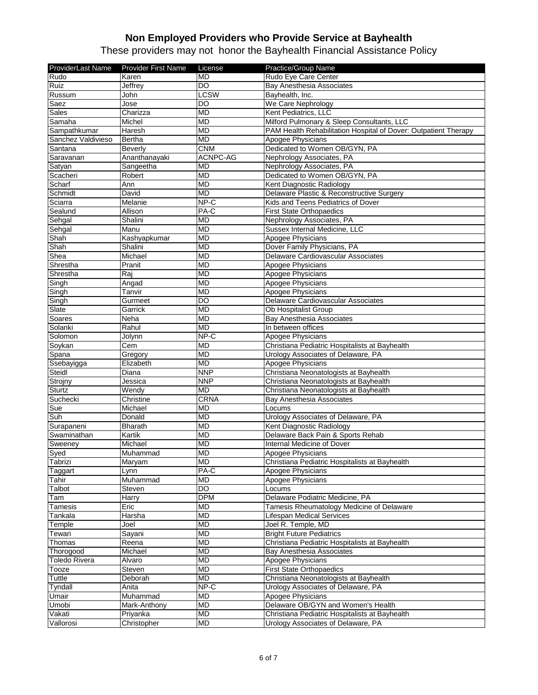| ProviderLast Name    | <b>Provider First Name</b> | License     | Practice/Group Name                                             |
|----------------------|----------------------------|-------------|-----------------------------------------------------------------|
| Rudo                 | Karen                      | <b>MD</b>   | Rudo Eye Care Center                                            |
| Ruiz                 | Jeffrey                    | <b>DO</b>   | <b>Bay Anesthesia Associates</b>                                |
| Russum               | John                       | <b>LCSW</b> | Bayhealth, Inc.                                                 |
| Saez                 | Jose                       | DO          | We Care Nephrology                                              |
| <b>Sales</b>         | Charizza                   | MD          | Kent Pediatrics, LLC                                            |
| Samaha               | Michel                     | <b>MD</b>   | Milford Pulmonary & Sleep Consultants, LLC                      |
| Sampathkumar         | Haresh                     | <b>MD</b>   | PAM Health Rehabilitation Hospital of Dover: Outpatient Therapy |
| Sanchez Valdivieso   | Bertha                     | <b>MD</b>   | Apogee Physicians                                               |
| Santana              | Beverly                    | <b>CNM</b>  | Dedicated to Women OB/GYN, PA                                   |
| Saravanan            | Ananthanayaki              | ACNPC-AG    | Nephrology Associates, PA                                       |
| Satyan               | Sangeetha                  | <b>MD</b>   | Nephrology Associates, PA                                       |
| Scacheri             | Robert                     | <b>MD</b>   | Dedicated to Women OB/GYN, PA                                   |
| Scharf               | Ann                        | <b>MD</b>   | Kent Diagnostic Radiology                                       |
| Schmidt              | David                      | <b>MD</b>   | Delaware Plastic & Reconstructive Surgery                       |
| Sciarra              | Melanie                    | $NP-C$      | Kids and Teens Pediatrics of Dover                              |
| Sealund              | Allison                    | PA-C        | <b>First State Orthopaedics</b>                                 |
| Sehgal               | Shalini                    | <b>MD</b>   | Nephrology Associates, PA                                       |
| Sehgal               | Manu                       | <b>MD</b>   | Sussex Internal Medicine, LLC                                   |
| Shah                 | Kashyapkumar               | <b>MD</b>   | Apogee Physicians                                               |
| Shah                 | Shalini                    | <b>MD</b>   | Dover Family Physicians, PA                                     |
| Shea                 | Michael                    | <b>MD</b>   | Delaware Cardiovascular Associates                              |
| Shrestha             | Pranit                     | <b>MD</b>   | Apogee Physicians                                               |
| Shrestha             | Rai                        | <b>MD</b>   | Apogee Physicians                                               |
| Singh                | Angad                      | <b>MD</b>   | <b>Apogee Physicians</b>                                        |
| Singh                | Tanvir                     | <b>MD</b>   | Apogee Physicians                                               |
| Singh                | Gurmeet                    | DO          | Delaware Cardiovascular Associates                              |
| Slate                | Garrick                    | <b>MD</b>   | Ob Hospitalist Group                                            |
| Soares               | Neha                       | <b>MD</b>   | <b>Bay Anesthesia Associates</b>                                |
| Solanki              | Rahul                      | <b>MD</b>   | In between offices                                              |
| Solomon              | Jolynn                     | NP-C        | Apogee Physicians                                               |
| Soykan               | Cem                        | <b>MD</b>   | Christiana Pediatric Hospitalists at Bayhealth                  |
| Spana                | Gregory                    | <b>MD</b>   | Urology Associates of Delaware, PA                              |
| Ssebayigga           | Elizabeth                  | <b>MD</b>   | Apogee Physicians                                               |
| Steidl               | Diana                      | <b>NNP</b>  | Christiana Neonatologists at Bayhealth                          |
| Strojny              | Jessica                    | <b>NNP</b>  | Christiana Neonatologists at Bayhealth                          |
| <b>Sturtz</b>        | Wendy                      | <b>MD</b>   | Christiana Neonatologists at Bayhealth                          |
| Suchecki             | Christine                  | <b>CRNA</b> | Bay Anesthesia Associates                                       |
| Sue                  | Michael                    | <b>MD</b>   | Locums                                                          |
| Suh                  | Donald                     | <b>MD</b>   | Urology Associates of Delaware, PA                              |
| Surapaneni           | <b>Bharath</b>             | <b>MD</b>   | Kent Diagnostic Radiology                                       |
| Swaminathan          | Kartik                     | <b>MD</b>   | Delaware Back Pain & Sports Rehab                               |
| Sweeney              | Michael                    | <b>MD</b>   | Internal Medicine of Dover                                      |
| Sved                 | Muhammad                   | <b>MD</b>   | Apogee Physicians                                               |
| Tabrizi              | Maryam                     | MD          | Christiana Pediatric Hospitalists at Bayhealth                  |
| Taggart              | Lynn                       | PA-C        | Apogee Physicians                                               |
| Tahir                | Muhammad                   | MD          | Apogee Physicians                                               |
| Talbot               | Steven                     | DO          | Locums                                                          |
| Tam                  | Harry                      | <b>DPM</b>  | Delaware Podiatric Medicine, PA                                 |
| Tamesis              | Eric                       | <b>MD</b>   | Tamesis Rheumatology Medicine of Delaware                       |
| Tankala              | Harsha                     | <b>MD</b>   | Lifespan Medical Services                                       |
| Temple               | Joel                       | <b>MD</b>   | Joel R. Temple, MD                                              |
| Tewari               | Sayani                     | MD          | <b>Bright Future Pediatrics</b>                                 |
| Thomas               | Reena                      | <b>MD</b>   | Christiana Pediatric Hospitalists at Bayhealth                  |
| Thorogood            | Michael                    | <b>MD</b>   | Bay Anesthesia Associates                                       |
| <b>Toledo Rivera</b> | Alvaro                     | <b>MD</b>   | Apogee Physicians                                               |
| Tooze                | Steven                     | <b>MD</b>   | <b>First State Orthopaedics</b>                                 |
| Tuttle               | Deborah                    | <b>MD</b>   | Christiana Neonatologists at Bayhealth                          |
| <b>Tyndall</b>       | Anita                      | NP-C        | Urology Associates of Delaware, PA                              |
| Umair                | Muhammad                   | <b>MD</b>   | Apogee Physicians                                               |
| Umobi                | Mark-Anthony               | MD          | Delaware OB/GYN and Women's Health                              |
| Vakati               | Priyanka                   | <b>MD</b>   | Christiana Pediatric Hospitalists at Bayhealth                  |
| Vallorosi            | Christopher                | <b>MD</b>   | Urology Associates of Delaware, PA                              |